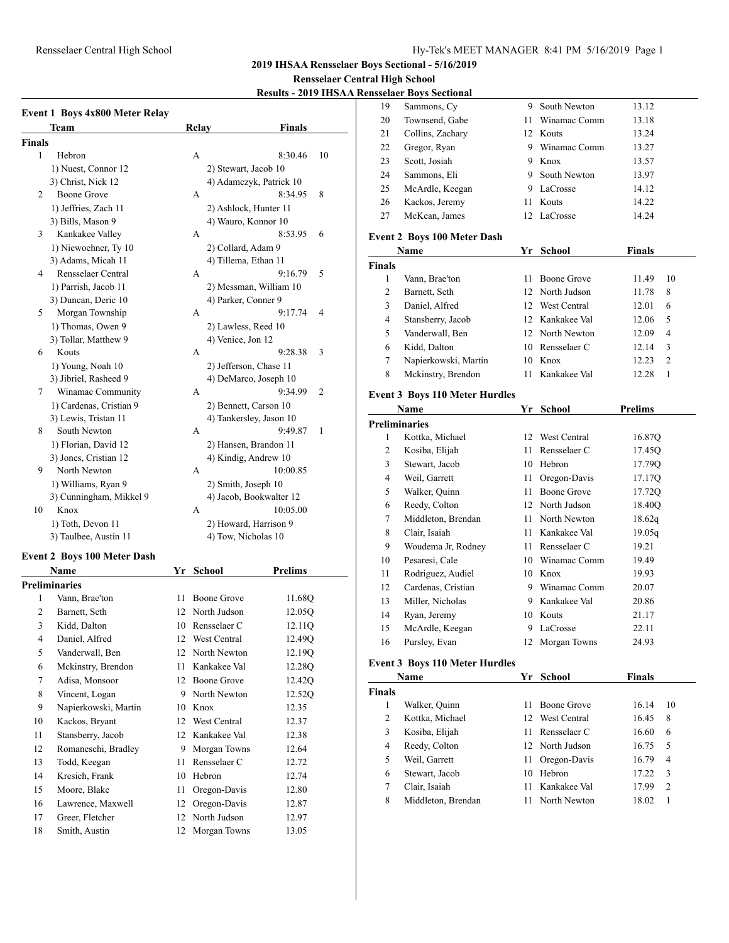#### Rensselaer Central High School Hy-Tek's MEET MANAGER 8:41 PM 5/16/2019 Page 1

**2019 IHSAA Rensselaer Boys Sectional - 5/16/2019**

#### **Rensselaer Central High School**

**Results - 2019 IHSAA Ren** 

|                | <b>Event 1 Boys 4x800 Meter Relay</b> |       |                         |                |
|----------------|---------------------------------------|-------|-------------------------|----------------|
|                | <b>Team</b>                           | Relay | <b>Finals</b>           |                |
| <b>Finals</b>  |                                       |       |                         |                |
| 1              | Hebron                                | A     | 8:30.46                 | 10             |
|                | 1) Nuest, Connor 12                   |       | 2) Stewart, Jacob 10    |                |
|                | 3) Christ, Nick 12                    |       | 4) Adamczyk, Patrick 10 |                |
| $\overline{2}$ | <b>Boone Grove</b>                    | A     | 8:34.95                 | 8              |
|                | 1) Jeffries, Zach 11                  |       | 2) Ashlock, Hunter 11   |                |
|                | 3) Bills, Mason 9                     |       | 4) Wauro, Konnor 10     |                |
| 3              | Kankakee Valley                       | A     | 8:53.95                 | 6              |
|                | 1) Niewoehner, Ty 10                  |       | 2) Collard, Adam 9      |                |
|                | 3) Adams, Micah 11                    |       | 4) Tillema, Ethan 11    |                |
| 4              | Rensselaer Central                    | A     | 9:16.79                 | 5              |
|                | 1) Parrish, Jacob 11                  |       | 2) Messman, William 10  |                |
|                | 3) Duncan, Deric 10                   |       | 4) Parker, Conner 9     |                |
| 5              | Morgan Township                       | A     | 9:17.74                 | 4              |
|                | 1) Thomas, Owen 9                     |       | 2) Lawless, Reed 10     |                |
|                | 3) Tollar, Matthew 9                  |       | 4) Venice, Jon 12       |                |
| 6              | Kouts                                 | A     | 9:28.38                 | 3              |
|                | 1) Young, Noah 10                     |       | 2) Jefferson, Chase 11  |                |
|                | 3) Jibriel, Rasheed 9                 |       | 4) DeMarco, Joseph 10   |                |
| 7              | Winamac Community                     | A     | 9:34.99                 | $\overline{2}$ |
|                | 1) Cardenas, Cristian 9               |       | 2) Bennett, Carson 10   |                |
|                | 3) Lewis, Tristan 11                  |       | 4) Tankersley, Jason 10 |                |
| 8              | South Newton                          | A     | 9:49.87                 | 1              |
|                | 1) Florian, David 12                  |       | 2) Hansen, Brandon 11   |                |
|                | 3) Jones, Cristian 12                 |       | 4) Kindig, Andrew 10    |                |
| 9              | North Newton                          | A     | 10:00.85                |                |
|                | 1) Williams, Ryan 9                   |       | 2) Smith, Joseph 10     |                |
|                | 3) Cunningham, Mikkel 9               |       | 4) Jacob, Bookwalter 12 |                |
| 10             | Knox                                  | A     | 10:05.00                |                |
|                | 1) Toth, Devon 11                     |       | 2) Howard, Harrison 9   |                |
|                | 3) Taulbee, Austin 11                 |       | 4) Tow, Nicholas 10     |                |
|                |                                       |       |                         |                |

#### **Event 2 Boys 100 Meter Dash**

| Name                 |                      | School       | Prelims |  |
|----------------------|----------------------|--------------|---------|--|
|                      |                      |              |         |  |
| Vann, Brae'ton       | 11                   | Boone Grove  | 11.68Q  |  |
| Barnett, Seth        | 12                   | North Judson | 12.05O  |  |
| Kidd, Dalton         | 10                   | Rensselaer C | 12.11Q  |  |
| Daniel, Alfred       | 12                   | West Central | 12.49Q  |  |
| Vanderwall, Ben      | 12                   | North Newton | 12.190  |  |
| Mckinstry, Brendon   | 11                   | Kankakee Val | 12.28Q  |  |
| Adisa, Monsoor       | 12                   | Boone Grove  | 12.42Q  |  |
| Vincent, Logan       | 9                    | North Newton | 12.52Q  |  |
| Napierkowski, Martin | 10                   | Knox         | 12.35   |  |
| Kackos, Bryant       | 12                   | West Central | 12.37   |  |
| Stansberry, Jacob    | 12                   | Kankakee Val | 12.38   |  |
| Romaneschi, Bradley  | 9                    | Morgan Towns | 12.64   |  |
| Todd, Keegan         | 11                   | Rensselaer C | 12.72   |  |
| Kresich, Frank       | 10                   | Hebron       | 12.74   |  |
| Moore, Blake         | 11                   | Oregon-Davis | 12.80   |  |
| Lawrence, Maxwell    | 12                   | Oregon-Davis | 12.87   |  |
| Greer, Fletcher      | 12                   | North Judson | 12.97   |  |
| Smith, Austin        | 12                   | Morgan Towns | 13.05   |  |
|                      | <b>Preliminaries</b> |              | Yr      |  |

|               | ensselaer Boys Sectional              |      |                              |                         |
|---------------|---------------------------------------|------|------------------------------|-------------------------|
| 19            | Sammons, Cy                           |      | 9 South Newton               | 13.12                   |
| 20            | Townsend, Gabe                        | 11 - | Winamac Comm                 | 13.18                   |
| 21            | Collins, Zachary                      |      | 12 Kouts                     | 13.24                   |
| 22            | Gregor, Ryan                          |      | 9 Winamac Comm               | 13.27                   |
| 23            | Scott, Josiah                         |      | 9 Knox                       | 13.57                   |
| 24            | Sammons, Eli                          |      | 9 South Newton               | 13.97                   |
| 25            | McArdle, Keegan                       |      | 9 LaCrosse                   | 14.12                   |
| 26            | Kackos, Jeremy                        | 11 - | Kouts                        | 14.22                   |
| 27            | McKean, James                         |      | 12 LaCrosse                  | 14.24                   |
|               | <b>Event 2 Boys 100 Meter Dash</b>    |      |                              |                         |
|               | Name                                  |      | Yr School                    | <b>Finals</b>           |
| <b>Finals</b> |                                       |      |                              |                         |
| 1             | Vann, Brae'ton                        | 11 - | Boone Grove                  | 11.49<br>10             |
| 2             | Barnett, Seth                         |      | 12 North Judson              | 11.78<br>8              |
| 3             | Daniel, Alfred                        |      | 12 West Central              | 6<br>12.01              |
| 4             | Stansberry, Jacob                     |      | 12 Kankakee Val              | 5<br>12.06              |
| 5             | Vanderwall, Ben                       |      | 12 North Newton              | 4<br>12.09              |
| 6             | Kidd, Dalton                          |      | 10 Rensselaer C              | 12.14<br>3              |
| 7             | Napierkowski, Martin                  |      | 10 Knox                      | $\overline{c}$<br>12.23 |
| 8             | Mckinstry, Brendon                    | 11 - | Kankakee Val                 | 1<br>12.28              |
|               | <b>Event 3 Boys 110 Meter Hurdles</b> |      |                              |                         |
|               | Name                                  |      | Yr School                    | <b>Prelims</b>          |
|               | <b>Preliminaries</b>                  |      |                              |                         |
| 1             | Kottka, Michael                       |      | 12 West Central              | 16.87Q                  |
| 2             | Kosiba, Elijah                        |      | 11 Rensselaer C              | 17.45Q                  |
| 3             | Stewart, Jacob                        |      | 10 Hebron                    | 17.79Q                  |
| 4             | Weil, Garrett                         | 11 - | Oregon-Davis                 | 17.17Q                  |
| 5             | Walker, Quinn                         | 11 - | Boone Grove                  | 17.72Q                  |
| 6             | Reedy, Colton                         |      | 12 North Judson              | 18.40Q                  |
| 7             | Middleton, Brendan                    |      | 11 North Newton              | 18.62q                  |
| 8             | Clair, Isaiah                         |      |                              |                         |
| 9             |                                       |      |                              |                         |
|               |                                       |      | 11 Kankakee Val              | 19.05q                  |
|               | Woudema Jr, Rodney                    |      | 11 Rensselaer C              | 19.21                   |
| 10            | Pesaresi, Cale                        |      | 10 Winamac Comm              | 19.49                   |
| 11            | Rodriguez, Audiel                     |      | 10 Knox                      | 19.93                   |
| 12            | Cardenas, Cristian                    |      | 9 Winamac Comm               | 20.07                   |
| 13            | Miller, Nicholas                      |      | 9 Kankakee Val               | 20.86                   |
| 14            | Ryan, Jeremy                          |      | 10 Kouts                     | 21.17                   |
| 15            | McArdle, Keegan                       | 9    | LaCrosse                     | 22.11                   |
| 16            | Pursley, Evan                         | 12   | Morgan Towns                 | 24.93                   |
|               | <b>Event 3 Boys 110 Meter Hurdles</b> |      |                              |                         |
|               | Name                                  | Yr   | <b>School</b>                | <b>Finals</b>           |
| <b>Finals</b> |                                       |      |                              |                         |
| $\mathbf{1}$  | Walker, Quinn                         | 11   | Boone Grove                  | 16.14<br>10             |
| 2             | Kottka, Michael                       | 12   | West Central                 | 16.45<br>8              |
| 3             | Kosiba, Elijah                        | 11.  | Rensselaer C                 | 6<br>16.60              |
| 4<br>5        | Reedy, Colton                         | 12   | North Judson<br>Oregon-Davis | 5<br>16.75              |

 Stewart, Jacob 10 Hebron 17.22 3 7 Clair, Isaiah 11 Kankakee Val 17.99 2 8 Middleton, Brendan 11 North Newton 18.02 1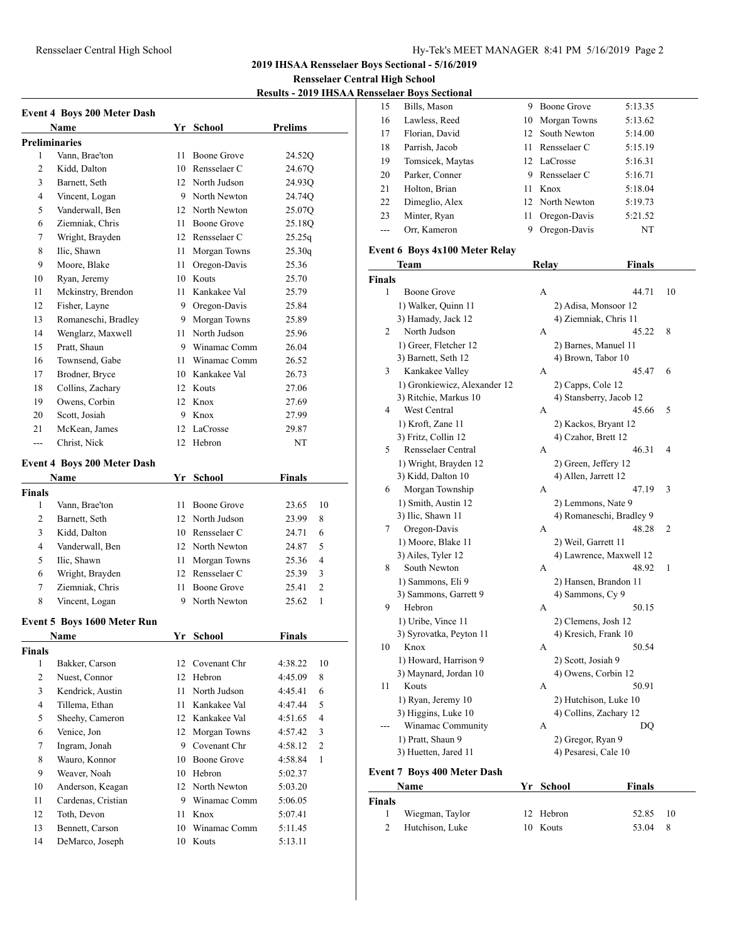# Rensselaer Central High School Hy-Tek's MEET MANAGER 8:41 PM 5/16/2019 Page 2

**2019 IHSAA Rensselaer Boys Sectional - 5/16/2019**

**Rensselaer Central High School**

**Results - 2019 IHSAA Rensselaer Boys Sectional**

| <b>Event 4 Boys 200 Meter Dash</b> |                                    |      |                 |                           |  |  |
|------------------------------------|------------------------------------|------|-----------------|---------------------------|--|--|
|                                    | Name                               |      | Yr School       | <b>Prelims</b>            |  |  |
| <b>Preliminaries</b>               |                                    |      |                 |                           |  |  |
| 1                                  | Vann, Brae'ton                     | 11.  | Boone Grove     | 24.52Q                    |  |  |
| 2                                  | Kidd, Dalton                       |      | 10 Rensselaer C | 24.67Q                    |  |  |
| 3                                  | Barnett, Seth                      |      | 12 North Judson | 24.93Q                    |  |  |
| 4                                  | Vincent, Logan                     |      | 9 North Newton  | 24.74Q                    |  |  |
| 5                                  | Vanderwall, Ben                    |      | 12 North Newton | 25.07Q                    |  |  |
| 6                                  | Ziemniak, Chris                    |      | 11 Boone Grove  | 25.18Q                    |  |  |
| 7                                  | Wright, Brayden                    |      | 12 Rensselaer C | 25.25q                    |  |  |
| 8                                  | Ilic, Shawn                        | 11   | Morgan Towns    | 25.30q                    |  |  |
| 9                                  | Moore, Blake                       |      | 11 Oregon-Davis | 25.36                     |  |  |
| 10                                 | Ryan, Jeremy                       |      | 10 Kouts        | 25.70                     |  |  |
| 11                                 | Mckinstry, Brendon                 |      | 11 Kankakee Val | 25.79                     |  |  |
| 12                                 | Fisher, Layne                      |      | 9 Oregon-Davis  | 25.84                     |  |  |
| 13                                 | Romaneschi, Bradley                |      | 9 Morgan Towns  | 25.89                     |  |  |
| 14                                 | Wenglarz, Maxwell                  |      | 11 North Judson | 25.96                     |  |  |
| 15                                 | Pratt, Shaun                       |      | 9 Winamac Comm  | 26.04                     |  |  |
| 16                                 | Townsend, Gabe                     |      | 11 Winamac Comm | 26.52                     |  |  |
| 17                                 | Brodner, Bryce                     |      | 10 Kankakee Val | 26.73                     |  |  |
| 18                                 | Collins, Zachary                   |      | 12 Kouts        | 27.06                     |  |  |
| 19                                 | Owens, Corbin                      |      | 12 Knox         | 27.69                     |  |  |
| 20                                 | Scott, Josiah                      |      | 9 Knox          | 27.99                     |  |  |
| 21                                 | McKean, James                      |      | 12 LaCrosse     | 29.87                     |  |  |
| $\overline{a}$                     | Christ, Nick                       |      | 12 Hebron       | NT                        |  |  |
|                                    |                                    |      |                 |                           |  |  |
|                                    | <b>Event 4 Boys 200 Meter Dash</b> |      |                 |                           |  |  |
|                                    | <b>Name</b>                        |      | Yr School       | <b>Finals</b>             |  |  |
| <b>Finals</b>                      |                                    |      |                 |                           |  |  |
| 1                                  | Vann, Brae'ton                     | 11   | Boone Grove     | 10<br>23.65               |  |  |
| 2                                  | Barnett, Seth                      |      | 12 North Judson | 23.99<br>8                |  |  |
| 3                                  | Kidd, Dalton                       |      | 10 Rensselaer C | 6<br>24.71                |  |  |
| 4                                  | Vanderwall, Ben                    |      | 12 North Newton | 5<br>24.87                |  |  |
| 5                                  | Ilic, Shawn                        | 11 - | Morgan Towns    | $\overline{4}$<br>25.36   |  |  |
| 6                                  | Wright, Brayden                    |      | 12 Rensselaer C | 25.39<br>3                |  |  |
| 7                                  | Ziemniak, Chris                    | 11 - | Boone Grove     | $\overline{2}$<br>25.41   |  |  |
| 8                                  | Vincent, Logan                     | 9    | North Newton    | $\mathbf{1}$<br>25.62     |  |  |
|                                    | Event 5 Boys 1600 Meter Run        |      |                 |                           |  |  |
|                                    | <u>Name</u>                        | Yr   | <b>School</b>   | <b>Finals</b>             |  |  |
| <b>Finals</b>                      |                                    |      |                 |                           |  |  |
| $\mathbf{1}$                       | Bakker, Carson                     |      | 12 Covenant Chr | 4:38.22<br>10             |  |  |
| 2                                  | Nuest, Connor                      |      | 12 Hebron       | 8<br>4:45.09              |  |  |
| 3                                  | Kendrick, Austin                   | 11 - | North Judson    | 6<br>4:45.41              |  |  |
| 4                                  | Tillema, Ethan                     | 11 - | Kankakee Val    | 4:47.44<br>5              |  |  |
| 5                                  | Sheehy, Cameron                    |      | 12 Kankakee Val | $\overline{4}$<br>4:51.65 |  |  |
| 6                                  | Venice, Jon                        |      | 12 Morgan Towns | 4:57.42<br>3              |  |  |
| 7                                  | Ingram, Jonah                      |      | 9 Covenant Chr  | $\overline{c}$<br>4:58.12 |  |  |
| 8                                  | Wauro, Konnor                      |      | 10 Boone Grove  | 4:58.84<br>1              |  |  |
| 9                                  | Weaver, Noah                       |      | 10 Hebron       | 5:02.37                   |  |  |
| 10                                 | Anderson, Keagan                   |      | 12 North Newton | 5:03.20                   |  |  |
| 11                                 | Cardenas, Cristian                 |      | 9 Winamac Comm  | 5:06.05                   |  |  |
| 12                                 | Toth, Devon                        |      | 11 Knox         | 5:07.41                   |  |  |
| 13                                 | Bennett, Carson                    |      | 10 Winamac Comm | 5:11.45                   |  |  |
| 14                                 | DeMarco, Joseph                    | 10   | Kouts           | 5:13.11                   |  |  |
|                                    |                                    |      |                 |                           |  |  |

| 15 | Bills, Mason     | 9. | Boone Grove     | 5:13.35 |
|----|------------------|----|-----------------|---------|
| 16 | Lawless, Reed    |    | 10 Morgan Towns | 5:13.62 |
| 17 | Florian, David   |    | 12 South Newton | 5:14.00 |
| 18 | Parrish, Jacob   | 11 | Rensselaer C    | 5:15.19 |
| 19 | Tomsicek, Maytas |    | 12 LaCrosse     | 5:16.31 |
| 20 | Parker, Conner   | 9  | Rensselaer C    | 5:16.71 |
| 21 | Holton, Brian    | 11 | Knox            | 5:18.04 |
| 22 | Dimeglio, Alex   |    | 12 North Newton | 5:19.73 |
| 23 | Minter, Ryan     | 11 | Oregon-Davis    | 5:21.52 |
|    | Orr, Kameron     | 9  | Oregon-Davis    | NT      |

# **Event 6 Boys 4x100 Meter Relay**

|               | Team                               |           | <b>Relay</b> | <b>Finals</b>            |    |
|---------------|------------------------------------|-----------|--------------|--------------------------|----|
| <b>Finals</b> |                                    |           |              |                          |    |
| 1             | Boone Grove                        |           | А            | 44.71                    | 10 |
|               | 1) Walker, Quinn 11                |           |              | 2) Adisa, Monsoor 12     |    |
|               | 3) Hamady, Jack 12                 |           |              | 4) Ziemniak, Chris 11    |    |
| 2             | North Judson                       |           | А            | 45.22                    | 8  |
|               | 1) Greer, Fletcher 12              |           |              | 2) Barnes, Manuel 11     |    |
|               | 3) Barnett, Seth 12                |           |              | 4) Brown, Tabor 10       |    |
| 3             | Kankakee Valley                    |           | A            | 45.47                    | 6  |
|               | 1) Gronkiewicz, Alexander 12       |           |              | 2) Capps, Cole 12        |    |
|               | 3) Ritchie, Markus 10              |           |              | 4) Stansberry, Jacob 12  |    |
| 4             | West Central                       |           | A            | 45.66                    | 5  |
|               | 1) Kroft, Zane 11                  |           |              | 2) Kackos, Bryant 12     |    |
|               | 3) Fritz, Collin 12                |           |              | 4) Czahor, Brett 12      |    |
| 5             | Rensselaer Central                 |           | A            | 46.31                    | 4  |
|               | 1) Wright, Brayden 12              |           |              | 2) Green, Jeffery 12     |    |
|               | 3) Kidd, Dalton 10                 |           |              | 4) Allen, Jarrett 12     |    |
| 6             | Morgan Township                    |           | A            | 47.19                    | 3  |
|               | 1) Smith, Austin 12                |           |              | 2) Lemmons, Nate 9       |    |
|               | 3) Ilic, Shawn 11                  |           |              | 4) Romaneschi, Bradley 9 |    |
| 7             | Oregon-Davis                       |           | A            | 48.28                    | 2  |
|               | 1) Moore, Blake 11                 |           |              | 2) Weil, Garrett 11      |    |
|               | 3) Ailes, Tyler 12                 |           |              | 4) Lawrence, Maxwell 12  |    |
| 8             | South Newton                       |           | A            | 48.92                    | 1  |
|               | 1) Sammons, Eli 9                  |           |              | 2) Hansen, Brandon 11    |    |
|               | 3) Sammons, Garrett 9              |           |              | 4) Sammons, Cy 9         |    |
| 9             | Hebron                             |           | A            | 50.15                    |    |
|               | 1) Uribe, Vince 11                 |           |              | 2) Clemens, Josh 12      |    |
|               | 3) Syrovatka, Peyton 11            |           |              | 4) Kresich, Frank 10     |    |
| 10            | Knox                               |           | A            | 50.54                    |    |
|               | 1) Howard, Harrison 9              |           |              | 2) Scott, Josiah 9       |    |
|               | 3) Maynard, Jordan 10              |           |              | 4) Owens, Corbin 12      |    |
| 11            | Kouts                              |           | A            | 50.91                    |    |
|               | 1) Ryan, Jeremy 10                 |           |              | 2) Hutchison, Luke 10    |    |
|               | 3) Higgins, Luke 10                |           |              | 4) Collins, Zachary 12   |    |
|               | Winamac Community                  |           | A            | DQ                       |    |
|               | 1) Pratt, Shaun 9                  |           |              | 2) Gregor, Ryan 9        |    |
|               | 3) Huetten, Jared 11               |           |              | 4) Pesaresi, Cale 10     |    |
|               | <b>Event 7 Boys 400 Meter Dash</b> |           |              |                          |    |
|               | Name                               | Yr School |              | <b>Finals</b>            |    |
| <b>Finals</b> |                                    |           |              |                          |    |
|               |                                    |           |              |                          |    |

| <b>Name</b>   |                 | Yr School |  | Finals |     |
|---------------|-----------------|-----------|--|--------|-----|
| <b>Finals</b> |                 |           |  |        |     |
|               | Wiegman, Taylor | 12 Hebron |  | 52.85  | -10 |
|               | Hutchison, Luke | 10 Kouts  |  | 53.04  | - 8 |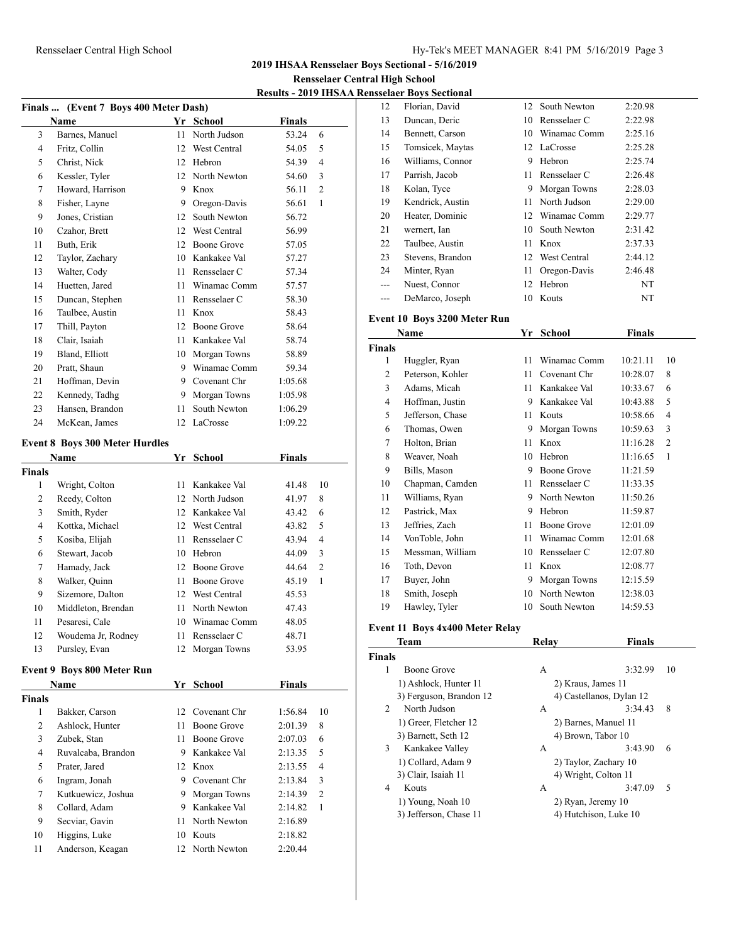#### Rensselaer Central High School Hy-Tek's MEET MANAGER 8:41 PM 5/16/2019 Page 3

**2019 IHSAA Rensselaer Boys Sectional - 5/16/2019**

**Rensselaer Central High School**

**Results - 2019 IHSAA Rensselaer Boys Sectional**

|               | Finals  (Event 7 Boys 400 Meter Dash)<br>Name |                 | Yr School          | <b>Finals</b> |                |
|---------------|-----------------------------------------------|-----------------|--------------------|---------------|----------------|
| 3             | Barnes, Manuel                                | 11              | North Judson       | 53.24         | 6              |
| 4             | Fritz, Collin                                 | 12              | West Central       | 54.05         | 5              |
| 5             | Christ, Nick                                  | 12              | Hebron             | 54.39         | 4              |
| 6             | Kessler, Tyler                                | 12              | North Newton       | 54.60         | 3              |
| 7             | Howard, Harrison                              | 9               | Knox               | 56.11         | 2              |
| 8             | Fisher, Layne                                 | 9               | Oregon-Davis       | 56.61         | 1              |
| 9             | Jones, Cristian                               | 12              | South Newton       | 56.72         |                |
| 10            | Czahor, Brett                                 | 12              | West Central       | 56.99         |                |
| 11            | Buth, Erik                                    | 12              | Boone Grove        | 57.05         |                |
| 12            | Taylor, Zachary                               |                 | 10 Kankakee Val    | 57.27         |                |
| 13            | Walter, Cody                                  | 11              | Rensselaer C       | 57.34         |                |
| 14            | Huetten, Jared                                | 11              | Winamac Comm       | 57.57         |                |
| 15            | Duncan, Stephen                               | 11              | Rensselaer C       | 58.30         |                |
| 16            | Taulbee, Austin                               | 11              | Knox               | 58.43         |                |
| 17            | Thill, Payton                                 | 12              | Boone Grove        | 58.64         |                |
| 18            | Clair, Isaiah                                 | 11              | Kankakee Val       | 58.74         |                |
| 19            | Bland, Elliott                                | 10              | Morgan Towns       | 58.89         |                |
| 20            | Pratt, Shaun                                  | 9               | Winamac Comm       | 59.34         |                |
| 21            | Hoffman, Devin                                | 9               | Covenant Chr       | 1:05.68       |                |
| 22            | Kennedy, Tadhg                                | 9.              | Morgan Towns       | 1:05.98       |                |
| 23            | Hansen, Brandon                               | 11              | South Newton       | 1:06.29       |                |
| 24            | McKean, James                                 | 12              | LaCrosse           | 1:09.22       |                |
|               |                                               |                 |                    |               |                |
|               | <b>Event 8 Boys 300 Meter Hurdles</b>         |                 |                    |               |                |
|               | Name                                          |                 | Yr School          | <b>Finals</b> |                |
| <b>Finals</b> |                                               |                 |                    |               |                |
| 1             | Wright, Colton                                | 11              | Kankakee Val       | 41.48         | 10             |
| 2             | Reedy, Colton                                 | 12              | North Judson       | 41.97         | 8              |
| 3             | Smith, Ryder                                  | 12 <sup>°</sup> | Kankakee Val       | 43.42         | 6              |
| 4             | Kottka, Michael                               | 12              | West Central       | 43.82         | 5              |
| 5             | Kosiba, Elijah                                | 11              | Rensselaer C       | 43.94         | $\overline{4}$ |
| 6             | Stewart, Jacob                                | 10              | Hebron             | 44.09         | 3              |
| 7             | Hamady, Jack                                  | 12              | <b>Boone Grove</b> | 44.64         | 2              |
| 8             | Walker, Quinn                                 | 11              | Boone Grove        | 45.19         | 1              |
| 9             | Sizemore, Dalton                              |                 | 12 West Central    | 45.53         |                |
| 10            | Middleton, Brendan                            | 11              | North Newton       | 47.43         |                |
| 11            | Pesaresi, Cale                                | 10              | Winamac Comm       | 48.05         |                |
| 12            | Woudema Jr, Rodney                            |                 | 11 Rensselaer C    | 48.71         |                |
| 13            | Pursley, Evan                                 |                 | 12 Morgan Towns    | 53.95         |                |
|               | <b>Event 9 Boys 800 Meter Run</b>             |                 |                    |               |                |
|               | Name                                          |                 | Yr School          | <b>Finals</b> |                |
| <b>Finals</b> |                                               |                 |                    |               |                |
| 1             | Bakker, Carson                                | 12              | Covenant Chr       | 1:56.84       | 10             |
| $\mathbf{2}$  | Ashlock, Hunter                               | 11              | Boone Grove        | 2:01.39       | 8              |
| 3             | Zubek, Stan                                   | 11              | <b>Boone Grove</b> | 2:07.03       | 6              |
| 4             | Ruvalcaba, Brandon                            |                 | 9 Kankakee Val     | 2:13.35       | 5              |
| 5             | Prater, Jared                                 |                 | 12 Knox            | 2:13.55       | 4              |
| 6             | Ingram, Jonah                                 |                 | 9 Covenant Chr     | 2:13.84       | 3              |
| $\tau$        | Kutkuewicz, Joshua                            | 9.              | Morgan Towns       | 2:14.39       | 2              |
| 8             | Collard, Adam                                 | 9.              | Kankakee Val       | 2:14.82       | 1              |
| 9             | Secviar, Gavin                                | 11              | North Newton       | 2:16.89       |                |
|               |                                               |                 | Kouts              | 2:18.82       |                |
|               |                                               |                 |                    |               |                |
| 10<br>11      | Higgins, Luke<br>Anderson, Keagan             | 10              | 12 North Newton    | 2:20.44       |                |

|       | sseiael Dovs Əccuoliai |    |                 |         |
|-------|------------------------|----|-----------------|---------|
| 12    | Florian, David         |    | 12 South Newton | 2:20.98 |
| 13    | Duncan, Deric          | 10 | Rensselaer C    | 2:22.98 |
| 14    | Bennett, Carson        | 10 | Winamac Comm    | 2:25.16 |
| 15    | Tomsicek, Maytas       |    | 12 LaCrosse     | 2:25.28 |
| 16    | Williams, Connor       | 9  | Hebron          | 2:25.74 |
| 17    | Parrish, Jacob         | 11 | Rensselaer C    | 2:26.48 |
| 18    | Kolan, Tyce            | 9  | Morgan Towns    | 2:28.03 |
| 19    | Kendrick, Austin       | 11 | North Judson    | 2:29.00 |
| 20    | Heater, Dominic        |    | 12 Winamac Comm | 2:29.77 |
| 21    | wernert, Ian           | 10 | South Newton    | 2:31.42 |
| 22    | Taulbee, Austin        | 11 | Knox            | 2:37.33 |
| 23    | Stevens, Brandon       |    | 12 West Central | 2:44.12 |
| 24    | Minter, Ryan           | 11 | Oregon-Davis    | 2:46.48 |
| $---$ | Nuest, Connor          | 12 | Hebron          | NT      |
|       | DeMarco, Joseph        | 10 | Kouts           | NT      |
|       |                        |    |                 |         |

#### **Event 10 Boys 3200 Meter Run**

|                | <b>Name</b>      | Yr | <b>School</b> | Finals   |                |
|----------------|------------------|----|---------------|----------|----------------|
| Finals         |                  |    |               |          |                |
| 1              | Huggler, Ryan    | 11 | Winamac Comm  | 10:21.11 | 10             |
| $\overline{c}$ | Peterson, Kohler | 11 | Covenant Chr  | 10:28.07 | 8              |
| 3              | Adams, Micah     | 11 | Kankakee Val  | 10:33.67 | 6              |
| 4              | Hoffman, Justin  | 9  | Kankakee Val  | 10:43.88 | 5              |
| 5              | Jefferson, Chase | 11 | Kouts         | 10:58.66 | $\overline{4}$ |
| 6              | Thomas, Owen     | 9  | Morgan Towns  | 10:59.63 | 3              |
| 7              | Holton, Brian    | 11 | Knox          | 11:16.28 | $\overline{2}$ |
| 8              | Weaver, Noah     | 10 | Hebron        | 11:16.65 | 1              |
| 9              | Bills, Mason     | 9  | Boone Grove   | 11:21.59 |                |
| 10             | Chapman, Camden  | 11 | Rensselaer C  | 11:33.35 |                |
| 11             | Williams, Ryan   | 9  | North Newton  | 11:50.26 |                |
| 12             | Pastrick, Max    | 9  | Hebron        | 11:59.87 |                |
| 13             | Jeffries, Zach   | 11 | Boone Grove   | 12:01.09 |                |
| 14             | VonToble, John   | 11 | Winamac Comm  | 12:01.68 |                |
| 15             | Messman, William | 10 | Rensselaer C  | 12:07.80 |                |
| 16             | Toth, Devon      | 11 | Knox          | 12:08.77 |                |
| 17             | Buyer, John      | 9  | Morgan Towns  | 12:15.59 |                |
| 18             | Smith, Joseph    | 10 | North Newton  | 12:38.03 |                |
| 19             | Hawley, Tyler    | 10 | South Newton  | 14:59.53 |                |

# **Event 11 Boys 4x400 Meter Relay**

|               | <b>Team</b>             | Relay                | <b>Finals</b>            |  |
|---------------|-------------------------|----------------------|--------------------------|--|
| <b>Finals</b> |                         |                      |                          |  |
| 1             | Boone Grove             | A                    | 3:32.99<br>10            |  |
|               | 1) Ashlock, Hunter 11   | 2) Kraus, James 11   |                          |  |
|               | 3) Ferguson, Brandon 12 |                      | 4) Castellanos, Dylan 12 |  |
| 2             | North Judson            | A                    | 3:34.43<br>8             |  |
|               | 1) Greer, Fletcher 12   |                      | 2) Barnes, Manuel 11     |  |
|               | 3) Barnett, Seth 12     | 4) Brown, Tabor 10   |                          |  |
| 3             | Kankakee Valley         | A                    | 3:43.90<br>6             |  |
|               | 1) Collard, Adam 9      |                      | 2) Taylor, Zachary 10    |  |
|               | 3) Clair, Isaiah 11     | 4) Wright, Colton 11 |                          |  |
| 4             | Kouts                   | А                    | 3:47.09<br>5             |  |
|               | 1) Young, Noah 10       | 2) Ryan, Jeremy 10   |                          |  |
|               | 3) Jefferson, Chase 11  |                      | 4) Hutchison, Luke 10    |  |
|               |                         |                      |                          |  |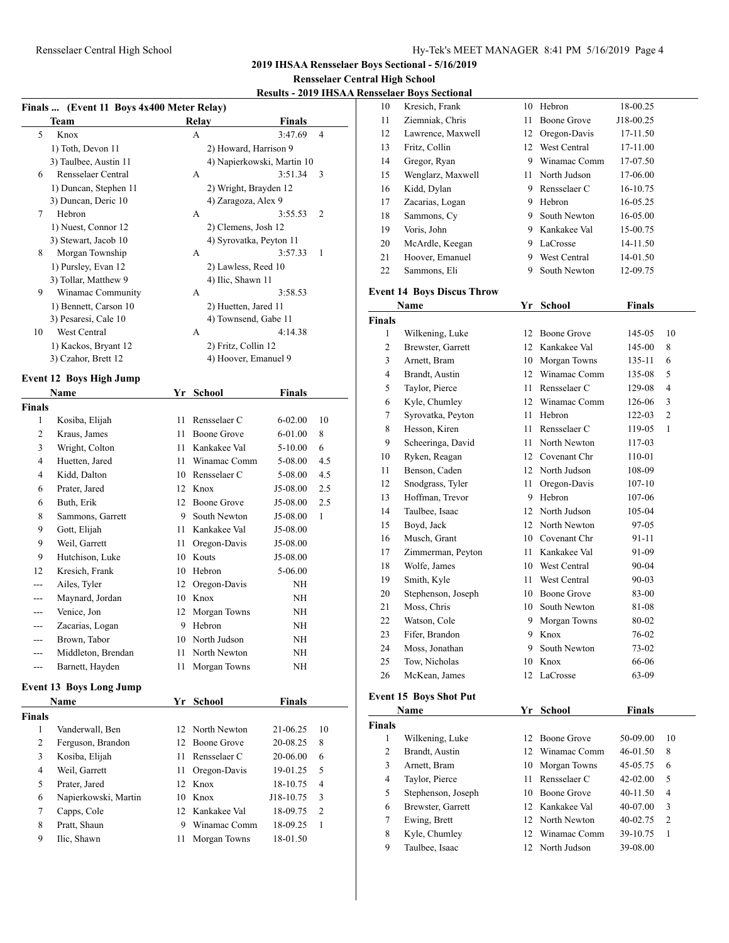**2019 IHSAA Rensselaer Boys Sectional - 5/16/2019**

# **Rensselaer Central High School**<br>2010 **IUSAA Pensselaer Pays Section**

# **Results - 2019 IHSAA Rensselaer Boys Sectional**

| Finals  (Event 11 Boys 4x400 Meter Relay) |                                |      |                         |                            |              |  |  |
|-------------------------------------------|--------------------------------|------|-------------------------|----------------------------|--------------|--|--|
|                                           | <b>Team</b>                    |      | Relay                   | <b>Finals</b>              |              |  |  |
| 5                                         | Knox                           |      | A                       | 3:47.69                    | 4            |  |  |
|                                           | 1) Toth, Devon 11              |      | 2) Howard, Harrison 9   |                            |              |  |  |
|                                           | 3) Taulbee, Austin 11          |      |                         | 4) Napierkowski, Martin 10 |              |  |  |
| 6                                         | Rensselaer Central             |      | A                       | 3:51.34                    | 3            |  |  |
|                                           | 1) Duncan, Stephen 11          |      | 2) Wright, Brayden 12   |                            |              |  |  |
|                                           | 3) Duncan, Deric 10            |      | 4) Zaragoza, Alex 9     |                            |              |  |  |
| 7                                         | Hebron                         |      | A                       | 3:55.53                    | 2            |  |  |
|                                           | 1) Nuest, Connor 12            |      | 2) Clemens, Josh 12     |                            |              |  |  |
|                                           | 3) Stewart, Jacob 10           |      | 4) Syrovatka, Peyton 11 |                            |              |  |  |
| 8                                         | Morgan Township                |      | A                       | 3:57.33                    | 1            |  |  |
|                                           | 1) Pursley, Evan 12            |      | 2) Lawless, Reed 10     |                            |              |  |  |
|                                           | 3) Tollar, Matthew 9           |      | 4) Ilic, Shawn 11       |                            |              |  |  |
| 9                                         | Winamac Community              |      | A                       | 3:58.53                    |              |  |  |
|                                           | 1) Bennett, Carson 10          |      | 2) Huetten, Jared 11    |                            |              |  |  |
|                                           | 3) Pesaresi, Cale 10           |      | 4) Townsend, Gabe 11    |                            |              |  |  |
| 10                                        | West Central                   |      | A                       | 4:14.38                    |              |  |  |
|                                           | 1) Kackos, Bryant 12           |      | 2) Fritz, Collin 12     |                            |              |  |  |
|                                           | 3) Czahor, Brett 12            |      | 4) Hoover, Emanuel 9    |                            |              |  |  |
|                                           | <b>Event 12 Boys High Jump</b> |      |                         |                            |              |  |  |
|                                           | Name                           | Yr   | <b>School</b>           | <b>Finals</b>              |              |  |  |
| Finals                                    |                                |      |                         |                            |              |  |  |
| 1                                         | Kosiba, Elijah                 | 11   | Rensselaer C            | 6-02.00                    | 10           |  |  |
| 2                                         | Kraus, James                   | 11-  | Boone Grove             | 6-01.00                    | 8            |  |  |
| 3                                         | Wright, Colton                 | 11 - | Kankakee Val            | $5 - 10.00$                | 6            |  |  |
| 4                                         | Huetten, Jared                 | 11   | Winamac Comm            |                            | 4.5          |  |  |
|                                           |                                |      |                         | 5-08.00                    |              |  |  |
| 4                                         | Kidd, Dalton                   |      | 10 Rensselaer C         | 5-08.00                    | 4.5          |  |  |
| 6                                         | Prater, Jared                  |      | 12 Knox                 | J5-08.00                   | 2.5          |  |  |
| 6                                         | Buth, Erik                     |      | 12 Boone Grove          | J5-08.00                   | 2.5          |  |  |
| 8                                         | Sammons, Garrett               | 9    | South Newton            | J5-08.00                   | $\mathbf{1}$ |  |  |
| 9                                         | Gott, Elijah                   |      | 11 Kankakee Val         | J5-08.00                   |              |  |  |
| 9                                         | Weil, Garrett                  | 11   | Oregon-Davis            | J5-08.00                   |              |  |  |
| 9                                         | Hutchison, Luke                |      | 10 Kouts                | J5-08.00                   |              |  |  |
| 12                                        | Kresich, Frank                 |      | 10 Hebron               | 5-06.00                    |              |  |  |
| ---                                       | Ailes, Tyler                   |      | 12 Oregon-Davis         | NH                         |              |  |  |
| ---                                       | Maynard, Jordan                |      | 10 Knox                 | NΗ                         |              |  |  |
| ---                                       | Venice, Jon                    | 12   | Morgan Towns            | NΗ                         |              |  |  |
| ---                                       | Zacarias, Logan                | 9    | Hebron                  | NΗ                         |              |  |  |
| ---                                       | Brown, Tabor                   | 10   | North Judson            | NH                         |              |  |  |
| ---                                       | Middleton, Brendan             | 11   | North Newton            | NΗ                         |              |  |  |
| ---                                       | Barnett, Hayden                | 11   | Morgan Towns            | NH                         |              |  |  |
|                                           | <b>Event 13 Boys Long Jump</b> |      |                         |                            |              |  |  |
|                                           |                                |      |                         |                            |              |  |  |
|                                           | Name                           | Yr   | School                  | <b>Finals</b>              |              |  |  |
| Finals                                    |                                |      |                         |                            |              |  |  |
| 1                                         | Vanderwall, Ben                | 12   | North Newton            | 21-06.25                   | 10           |  |  |
| 2                                         | Ferguson, Brandon              | 12   | Boone Grove             | 20-08.25                   | 8            |  |  |
| 3                                         | Kosiba, Elijah                 | 11   | Rensselaer C            | 20-06.00                   | 6            |  |  |
| $\overline{4}$                            | Weil, Garrett                  | 11   | Oregon-Davis            | 19-01.25                   | 5            |  |  |

 Prater, Jared 12 Knox 18-10.75 4 Napierkowski, Martin 10 Knox J18-10.75 3 Capps, Cole 12 Kankakee Val 18-09.75 2 Pratt, Shaun 9 Winamac Comm 18-09.25 1 Ilic, Shawn 11 Morgan Towns 18-01.50

|                               | <u>ensselaer Boys Sectional</u>                  |      |                          |                      |                |  |
|-------------------------------|--------------------------------------------------|------|--------------------------|----------------------|----------------|--|
| 10                            | Kresich, Frank                                   |      | 10 Hebron                | 18-00.25             |                |  |
| 11                            | Ziemniak, Chris                                  | 11   | Boone Grove              | J18-00.25            |                |  |
| 12                            | Lawrence, Maxwell                                |      | 12 Oregon-Davis          | 17-11.50             |                |  |
| 13                            | Fritz, Collin                                    |      | 12 West Central          | 17-11.00             |                |  |
| 14                            | Gregor, Ryan                                     |      | 9 Winamac Comm           | 17-07.50             |                |  |
| 15                            | Wenglarz, Maxwell                                |      | 11 North Judson          | 17-06.00             |                |  |
| 16                            | Kidd, Dylan                                      |      | 9 Rensselaer C           | 16-10.75             |                |  |
| 17                            | Zacarias, Logan                                  |      | 9 Hebron                 | 16-05.25             |                |  |
| 18                            | Sammons, Cy                                      |      | 9 South Newton           | 16-05.00             |                |  |
| 19                            | Voris, John                                      |      | 9 Kankakee Val           | 15-00.75             |                |  |
| 20                            | McArdle, Keegan                                  |      | 9 LaCrosse               | 14-11.50             |                |  |
| 21                            | Hoover, Emanuel                                  |      | 9 West Central           | 14-01.50             |                |  |
| 22                            | Sammons, Eli                                     |      | 9 South Newton           | 12-09.75             |                |  |
|                               |                                                  |      |                          |                      |                |  |
|                               | <b>Event 14 Boys Discus Throw</b><br><b>Name</b> |      |                          |                      |                |  |
|                               |                                                  |      | Yr School                | Finals               |                |  |
| <b>Finals</b><br>$\mathbf{1}$ |                                                  |      | 12 Boone Grove           | 145-05               | 10             |  |
| 2                             | Wilkening, Luke                                  |      | 12 Kankakee Val          | 145-00               | 8              |  |
| 3                             | Brewster, Garrett                                |      | 10 Morgan Towns          |                      | 6              |  |
| $\overline{4}$                | Arnett, Bram<br>Brandt, Austin                   |      | 12 Winamac Comm          | 135-11               | 5              |  |
|                               |                                                  | 11   | Rensselaer C             | 135-08               | 4              |  |
| 5<br>6                        | Taylor, Pierce                                   |      | 12 Winamac Comm          | 129-08<br>126-06     | 3              |  |
|                               | Kyle, Chumley                                    | 11   | Hebron                   |                      | $\mathfrak{2}$ |  |
| 7<br>8                        | Syrovatka, Peyton                                | 11   | Rensselaer C             | 122-03               | 1              |  |
| 9                             | Hesson, Kiren                                    |      | 11 North Newton          | 119-05               |                |  |
|                               | Scheeringa, David                                |      | 12 Covenant Chr          | 117-03               |                |  |
| 10<br>11                      | Ryken, Reagan<br>Benson, Caden                   |      | 12 North Judson          | 110-01<br>108-09     |                |  |
| 12                            |                                                  | 11 - |                          |                      |                |  |
| 13                            | Snodgrass, Tyler<br>Hoffman, Trevor              |      | Oregon-Davis<br>9 Hebron | $107 - 10$<br>107-06 |                |  |
| 14                            | Taulbee, Isaac                                   |      | 12 North Judson          | 105-04               |                |  |
| 15                            | Boyd, Jack                                       |      | 12 North Newton          | 97-05                |                |  |
| 16                            | Musch, Grant                                     |      | 10 Covenant Chr          | 91-11                |                |  |
| 17                            | Zimmerman, Peyton                                |      | 11 Kankakee Val          | 91-09                |                |  |
| 18                            | Wolfe, James                                     |      | 10 West Central          | 90-04                |                |  |
| 19                            | Smith, Kyle                                      | 11   | West Central             | 90-03                |                |  |
| 20                            | Stephenson, Joseph                               |      | 10 Boone Grove           | 83-00                |                |  |
| 21                            | Moss, Chris                                      |      | 10 South Newton          | 81-08                |                |  |
| 22                            | Watson, Cole                                     |      | 9 Morgan Towns           | 80-02                |                |  |
| 23                            | Fifer, Brandon                                   |      | 9 Knox                   | 76-02                |                |  |
| 24                            | Moss, Jonathan                                   | 9    | South Newton             | 73-02                |                |  |
| 25                            | Tow, Nicholas                                    |      | 10 Knox                  | 66-06                |                |  |
| 26                            | McKean, James                                    |      | 12 LaCrosse              | 63-09                |                |  |
|                               |                                                  |      |                          |                      |                |  |
| <b>Event 15 Boys Shot Put</b> |                                                  |      |                          |                      |                |  |
|                               | Name                                             | Yr   | <b>School</b>            | <b>Finals</b>        |                |  |

| Name          |                    | Y r | School          | <b>Finals</b> |                |
|---------------|--------------------|-----|-----------------|---------------|----------------|
| <b>Finals</b> |                    |     |                 |               |                |
| 1             | Wilkening, Luke    | 12. | Boone Grove     | 50-09.00      | 10             |
| 2             | Brandt, Austin     | 12. | Winamac Comm    | 46-01.50      | 8              |
| 3             | Arnett, Bram       |     | 10 Morgan Towns | 45-05.75      | 6              |
| 4             | Taylor, Pierce     | 11  | Rensselaer C    | $42 - 02.00$  | 5              |
| 5             | Stephenson, Joseph | 10  | Boone Grove     | 40-11.50      | 4              |
| 6             | Brewster, Garrett  |     | 12 Kankakee Val | 40-07.00      | 3              |
| 7             | Ewing, Brett       |     | 12 North Newton | 40-02.75      | $\overline{2}$ |
| 8             | Kyle, Chumley      | 12. | Winamac Comm    | 39-10.75      |                |
| 9             | Taulbee, Isaac     |     | 12 North Judson | 39-08.00      |                |